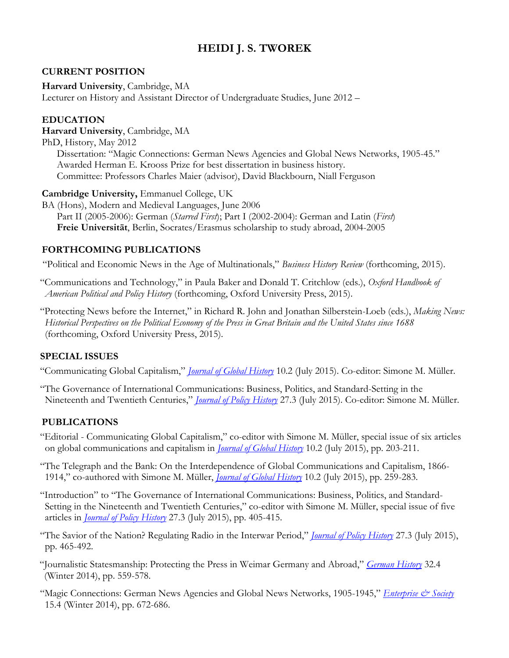# **HEIDI J. S. TWOREK**

#### **CURRENT POSITION**

**Harvard University**, Cambridge, MA

Lecturer on History and Assistant Director of Undergraduate Studies, June 2012 –

#### **EDUCATION**

**Harvard University**, Cambridge, MA

PhD, History, May 2012 Dissertation: "Magic Connections: German News Agencies and Global News Networks, 1905-45." Awarded Herman E. Krooss Prize for best dissertation in business history. Committee: Professors Charles Maier (advisor), David Blackbourn, Niall Ferguson

**Cambridge University,** Emmanuel College, UK

BA (Hons), Modern and Medieval Languages, June 2006 Part II (2005-2006): German (*Starred First*); Part I (2002-2004): German and Latin (*First*) **Freie Universität**, Berlin, Socrates/Erasmus scholarship to study abroad, 2004-2005

#### **FORTHCOMING PUBLICATIONS**

"Political and Economic News in the Age of Multinationals," *Business History Review* (forthcoming, 2015).

"Communications and Technology," in Paula Baker and Donald T. Critchlow (eds.), *Oxford Handbook of American Political and Policy History* (forthcoming, Oxford University Press, 2015).

"Protecting News before the Internet," in Richard R. John and Jonathan Silberstein-Loeb (eds.), *Making News: Historical Perspectives on the Political Economy of the Press in Great Britain and the United States since 1688*  (forthcoming, Oxford University Press, 2015).

#### **SPECIAL ISSUES**

"Communicating Global Capitalism," *[Journal of Global History](http://journals.cambridge.org/action/displayIssue?iid=9792192)* 10.2 (July 2015). Co-editor: Simone M. Müller.

"The Governance of International Communications: Business, Politics, and Standard-Setting in the Nineteenth and Twentieth Centuries," *[Journal of Policy History](http://journals.cambridge.org/action/displayIssue?jid=JPH&volumeId=27&seriesId=0&issueId=03)* 27.3 (July 2015). Co-editor: Simone M. Müller.

#### **PUBLICATIONS**

"Editorial - Communicating Global Capitalism," co-editor with Simone M. Müller, special issue of six articles on global communications and capitalism in *[Journal of Global History](http://journals.cambridge.org/action/displayAbstract?fromPage=online&aid=9792193&fulltextType=ED&fileId=S1740022815000030)* 10.2 (July 2015), pp. 203-211.

"The Telegraph and the Bank: On the Interdependence of Global Communications and Capitalism, 1866- 1914," co-authored with Simone M. Müller, *[Journal of Global History](http://journals.cambridge.org/action/displayAbstract?fromPage=online&aid=9792211&fulltextType=RA&fileId=S1740022815000066)* 10.2 (July 2015), pp. 259-283.

"Introduction" to "The Governance of International Communications: Business, Politics, and Standard-Setting in the Nineteenth and Twentieth Centuries," co-editor with Simone M. Müller, special issue of five articles in *[Journal of Policy History](http://journals.cambridge.org/action/displayAbstract?fromPage=online&aid=9760095&fulltextType=IN&fileId=S0898030615000160)* 27.3 (July 2015), pp. 405-415.

"The Savior of the Nation? Regulating Radio in the Interwar Period," *[Journal of Policy History](http://journals.cambridge.org/action/displayAbstract?fromPage=online&aid=9760083&fulltextType=RA&fileId=S0898030615000196)* 27.3 (July 2015), pp. 465-492.

"Journalistic Statesmanship: Protecting the Press in Weimar Germany and Abroad," *[German History](http://gh.oxfordjournals.org/content/32/4/559.abstract?keytype=ref&ijkey=KCr0p2sRaf0z0Cm)* 32.4 (Winter 2014), pp. 559-578.

"Magic Connections: German News Agencies and Global News Networks, 1905-1945," *[Enterprise & Society](http://es.oxfordjournals.org.ezp-prod1.hul.harvard.edu/content/early/2014/08/22/es.khu046.full)* 15.4 (Winter 2014), pp. 672-686.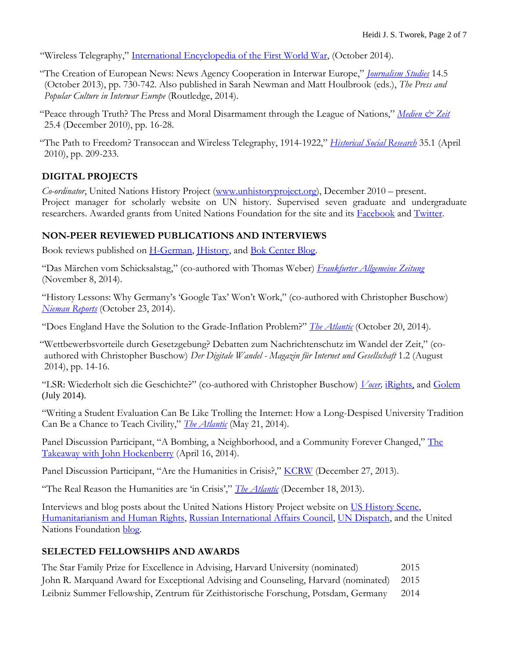"Wireless Telegraphy," [International Encyclopedia of the First World War,](http://encyclopedia.1914-1918-online.net/article/Wireless_Telegraphy) (October 2014).

- "The Creation of European News: News Agency Cooperation in Interwar Europe," *[Journalism Studies](http://www.tandfonline.com/doi/abs/10.1080/1461670X.2013.810908)* 14.5 (October 2013), pp. 730-742. Also published in Sarah Newman and Matt Houlbrook (eds.), *The Press and Popular Culture in Interwar Europe* (Routledge, 2014).
- "Peace through Truth? The Press and Moral Disarmament through the League of Nations," *[Medien & Zeit](https://www.academia.edu/492750/Peace_through_Truth_The_Press_and_Moral_Disarmament_through_the_League_of_Nations)* 25.4 (December 2010), pp. 16-28.
- "The Path to Freedom? Transocean and Wireless Telegraphy, 1914-1922," *[Historical Social Research](https://www.academia.edu/492751/_The_Path_to_Freedom_Transocean_and_Wireless_Telegraphy_1914-1923)* 35.1 (April 2010), pp. 209-233.

# **DIGITAL PROJECTS**

*Co-ordinator*, United Nations History Project [\(www.unhistoryproject.org\)](http://www.unhistoryproject.org/), December 2010 – present. Project manager for scholarly website on UN history. Supervised seven graduate and undergraduate researchers. Awarded grants from United Nations Foundation for the site and its [Facebook](mailto:www.facebook.com/UnitedNationsHistoryProject) and [Twitter.](http://www.twitter.com/UN_History)

### **NON-PEER REVIEWED PUBLICATIONS AND INTERVIEWS**

Book reviews published on [H-German,](http://h-net.msu.edu/cgi-bin/logbrowse.pl?trx=vx&list=h-german&month=1005&week=a&msg=xUWK2zCf3zk8JX77teTg0g&user=&pw=) *History*, and **Bok Center Blog**.

"Das Märchen vom Schicksalstag," (co-authored with Thomas Weber) *[Frankfurter Allgemeine Zeitung](http://www.faz.net/-gqz-7w28a)* (November 8, 2014).

"History Lessons: Why Germany's 'Google Tax' Won't Work," (co-authored with Christopher Buschow) *[Nieman](http://niemanreports.org/articles/history-lessons-why-germanys-google-tax-wont-work/) Reports* (October 23, 2014).

"Does England Have the Solution to the Grade-Inflation Problem?" *[The Atlantic](http://www.theatlantic.com/education/archive/2014/10/does-england-have-the-solution-to-the-grade-inflation-problem/381571/)* (October 20, 2014).

"Wettbewerbsvorteile durch Gesetzgebung? Debatten zum Nachrichtenschutz im Wandel der Zeit," (coauthored with Christopher Buschow) *Der Digitale Wandel - Magazin für Internet und Gesellschaft* 1.2 (August 2014), pp. 14-16.

"LSR: Wiederholt sich die Geschichte?" (co-authored with Christopher Buschow) *[Vocer,](http://www.vocer.org/lsr-wiederholt-sich-die-geschichte/)* [iRights,](http://irights.info/artikel/leistungsschutzrecht-wiederholt-sich-die-geschichte/23523) and [Golem](http://www.golem.de/news/leistungsschutzrecht-die-fast-100-jahre-alte-debatte-um-den-nachrichtendiebstahl-1407-107617.html) (July 2014).

"Writing a Student Evaluation Can Be Like Trolling the Internet: How a Long-Despised University Tradition Can Be a Chance to Teach Civility," *[The Atlantic](http://www.theatlantic.com/education/archive/2014/05/writing-a-student-evaluation-can-be-kind-of-like-trolling-a-comments-section/371240/)* (May 21, 2014).

Panel Discussion Participant, "A Bombing, a Neighborhood, and a Community Forever Changed," The [Takeaway with John Hockenberry](http://www.thetakeaway.org/story/bombing-neighborhood-and-community-forever-changed/) (April 16, 2014).

Panel Discussion Participant, "Are the Humanities in Crisis?," [KCRW](http://www.kcrw.com/news/programs/tp/tp131227are_the_humanities_i) (December 27, 2013).

"The Real Reason the Humanities are 'in Crisis'," *[The Atlantic](http://www.theatlantic.com/education/archive/2013/12/the-real-reason-the-humanities-are-in-crisis/282441/)* (December 18, 2013).

Interviews and blog posts about the United Nations History Project website on [US History Scene,](http://ushistoryscene.com/tweeting-the-creation-of-the-united-nations/) [Humanitarianism and Human Rights,](http://hhr.hypotheses.org/973) [Russian International Affairs Council,](http://russiancouncil.ru/en/inner/?id_4=928#top) [UN Dispatch,](http://www.undispatch.com/un-history-project-opens-at-harvard-university) and the United Nations Foundation [blog.](http://www.unfoundation.org/blog/unlocking-the-keys-to-united-nations-history.html)

#### **SELECTED FELLOWSHIPS AND AWARDS**

| The Star Family Prize for Excellence in Advising, Harvard University (nominated)         | 2015 |
|------------------------------------------------------------------------------------------|------|
| John R. Marquand Award for Exceptional Advising and Counseling, Harvard (nominated) 2015 |      |
| Leibniz Summer Fellowship, Zentrum für Zeithistorische Forschung, Potsdam, Germany       | 2014 |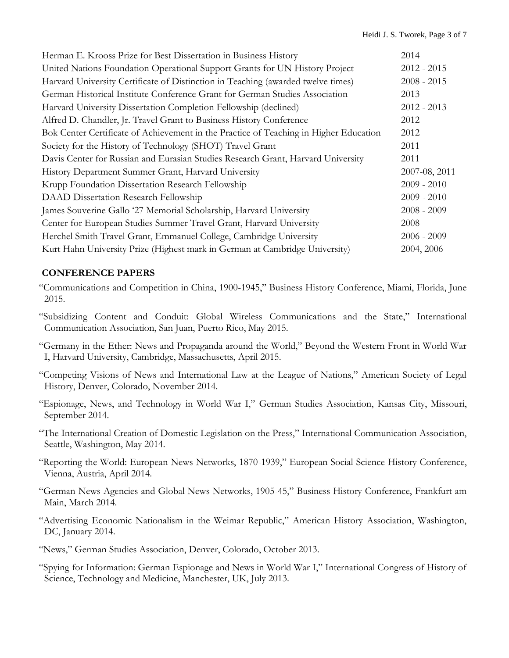| Herman E. Krooss Prize for Best Dissertation in Business History                      | 2014          |
|---------------------------------------------------------------------------------------|---------------|
| United Nations Foundation Operational Support Grants for UN History Project           | $2012 - 2015$ |
| Harvard University Certificate of Distinction in Teaching (awarded twelve times)      | $2008 - 2015$ |
| German Historical Institute Conference Grant for German Studies Association           | 2013          |
| Harvard University Dissertation Completion Fellowship (declined)                      | $2012 - 2013$ |
| Alfred D. Chandler, Jr. Travel Grant to Business History Conference                   | 2012          |
| Bok Center Certificate of Achievement in the Practice of Teaching in Higher Education | 2012          |
| Society for the History of Technology (SHOT) Travel Grant                             | 2011          |
| Davis Center for Russian and Eurasian Studies Research Grant, Harvard University      | 2011          |
| History Department Summer Grant, Harvard University                                   | 2007-08, 2011 |
| Krupp Foundation Dissertation Research Fellowship                                     | $2009 - 2010$ |
| DAAD Dissertation Research Fellowship                                                 | $2009 - 2010$ |
| James Souverine Gallo '27 Memorial Scholarship, Harvard University                    | $2008 - 2009$ |
| Center for European Studies Summer Travel Grant, Harvard University                   | 2008          |
| Herchel Smith Travel Grant, Emmanuel College, Cambridge University                    | $2006 - 2009$ |
| Kurt Hahn University Prize (Highest mark in German at Cambridge University)           | 2004, 2006    |

### **CONFERENCE PAPERS**

- "Communications and Competition in China, 1900-1945," Business History Conference, Miami, Florida, June 2015.
- "Subsidizing Content and Conduit: Global Wireless Communications and the State," International Communication Association, San Juan, Puerto Rico, May 2015.
- "Germany in the Ether: News and Propaganda around the World," Beyond the Western Front in World War I, Harvard University, Cambridge, Massachusetts, April 2015.
- "Competing Visions of News and International Law at the League of Nations," American Society of Legal History, Denver, Colorado, November 2014.
- "Espionage, News, and Technology in World War I," German Studies Association, Kansas City, Missouri, September 2014.
- "The International Creation of Domestic Legislation on the Press," International Communication Association, Seattle, Washington, May 2014.
- "Reporting the World: European News Networks, 1870-1939," European Social Science History Conference, Vienna, Austria, April 2014.
- "German News Agencies and Global News Networks, 1905-45," Business History Conference, Frankfurt am Main, March 2014.
- "Advertising Economic Nationalism in the Weimar Republic," American History Association, Washington, DC, January 2014.
- "News," German Studies Association, Denver, Colorado, October 2013.
- "Spying for Information: German Espionage and News in World War I," International Congress of History of Science, Technology and Medicine, Manchester, UK, July 2013.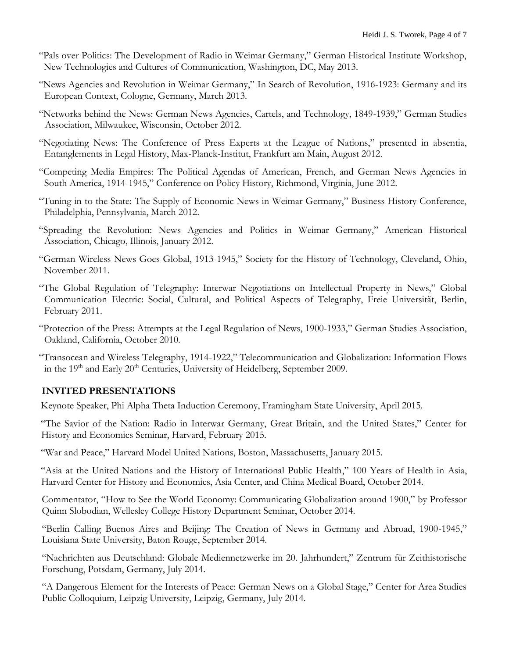- "Pals over Politics: The Development of Radio in Weimar Germany," German Historical Institute Workshop, New Technologies and Cultures of Communication, Washington, DC, May 2013.
- "News Agencies and Revolution in Weimar Germany," In Search of Revolution, 1916-1923: Germany and its European Context, Cologne, Germany, March 2013.
- "Networks behind the News: German News Agencies, Cartels, and Technology, 1849-1939," German Studies Association, Milwaukee, Wisconsin, October 2012.
- "Negotiating News: The Conference of Press Experts at the League of Nations," presented in absentia, Entanglements in Legal History, Max-Planck-Institut, Frankfurt am Main, August 2012.
- "Competing Media Empires: The Political Agendas of American, French, and German News Agencies in South America, 1914-1945," Conference on Policy History, Richmond, Virginia, June 2012.
- "Tuning in to the State: The Supply of Economic News in Weimar Germany," Business History Conference, Philadelphia, Pennsylvania, March 2012.
- "Spreading the Revolution: News Agencies and Politics in Weimar Germany," American Historical Association, Chicago, Illinois, January 2012.
- "German Wireless News Goes Global, 1913-1945," Society for the History of Technology, Cleveland, Ohio, November 2011.
- "The Global Regulation of Telegraphy: Interwar Negotiations on Intellectual Property in News," Global Communication Electric: Social, Cultural, and Political Aspects of Telegraphy, Freie Universität, Berlin, February 2011.
- "Protection of the Press: Attempts at the Legal Regulation of News, 1900-1933," German Studies Association, Oakland, California, October 2010.
- "Transocean and Wireless Telegraphy, 1914-1922," Telecommunication and Globalization: Information Flows in the  $19<sup>th</sup>$  and Early  $20<sup>th</sup>$  Centuries, University of Heidelberg, September 2009.

## **INVITED PRESENTATIONS**

Keynote Speaker, Phi Alpha Theta Induction Ceremony, Framingham State University, April 2015.

 "The Savior of the Nation: Radio in Interwar Germany, Great Britain, and the United States," Center for History and Economics Seminar, Harvard, February 2015.

"War and Peace," Harvard Model United Nations, Boston, Massachusetts, January 2015.

 "Asia at the United Nations and the History of International Public Health," 100 Years of Health in Asia, Harvard Center for History and Economics, Asia Center, and China Medical Board, October 2014.

Commentator, "How to See the World Economy: Communicating Globalization around 1900," by Professor Quinn Slobodian, Wellesley College History Department Seminar, October 2014.

"Berlin Calling Buenos Aires and Beijing: The Creation of News in Germany and Abroad, 1900-1945," Louisiana State University, Baton Rouge, September 2014.

"Nachrichten aus Deutschland: Globale Mediennetzwerke im 20. Jahrhundert," Zentrum für Zeithistorische Forschung, Potsdam, Germany, July 2014.

"A Dangerous Element for the Interests of Peace: German News on a Global Stage," Center for Area Studies Public Colloquium, Leipzig University, Leipzig, Germany, July 2014.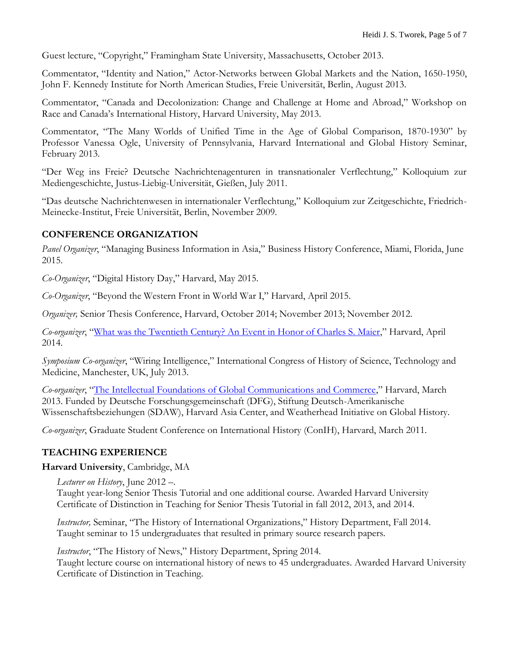Guest lecture, "Copyright," Framingham State University, Massachusetts, October 2013.

Commentator, "Identity and Nation," Actor-Networks between Global Markets and the Nation, 1650-1950, John F. Kennedy Institute for North American Studies, Freie Universität, Berlin, August 2013.

Commentator, "Canada and Decolonization: Change and Challenge at Home and Abroad," Workshop on Race and Canada's International History, Harvard University, May 2013.

Commentator, "The Many Worlds of Unified Time in the Age of Global Comparison, 1870-1930" by Professor Vanessa Ogle, University of Pennsylvania, Harvard International and Global History Seminar, February 2013.

"Der Weg ins Freie? Deutsche Nachrichtenagenturen in transnationaler Verflechtung," Kolloquium zur Mediengeschichte, Justus-Liebig-Universität, Gießen, July 2011.

"Das deutsche Nachrichtenwesen in internationaler Verflechtung," Kolloquium zur Zeitgeschichte, Friedrich-Meinecke-Institut, Freie Universität, Berlin, November 2009.

### **CONFERENCE ORGANIZATION**

*Panel Organizer*, "Managing Business Information in Asia," Business History Conference, Miami, Florida, June 2015.

*Co-Organizer*, "Digital History Day," Harvard, May 2015.

*Co-Organizer*, "Beyond the Western Front in World War I," Harvard, April 2015.

*Organizer,* Senior Thesis Conference, Harvard, October 2014; November 2013; November 2012.

*Co-organizer*, "[What was the Twentieth Century? An Event in Honor of Charles S. Maier](http://wigh.wcfia.harvard.edu/content/what-was-20th-century-roundtable-event-honor-charles-s-maier)," Harvard, April 2014.

*Symposium Co-organizer*, "Wiring Intelligence," International Congress of History of Science, Technology and Medicine, Manchester, UK, July 2013.

*Co-organizer*, "[The Intellectual Foundations of Global Communications and Commerce](http://wigh.wcfia.harvard.edu/content/intellectual-foundations-global-communications-and-commerce-1860-1970)," Harvard, March 2013. Funded by Deutsche Forschungsgemeinschaft (DFG), Stiftung Deutsch-Amerikanische Wissenschaftsbeziehungen (SDAW), Harvard Asia Center, and Weatherhead Initiative on Global History.

*Co-organizer*, Graduate Student Conference on International History (ConIH), Harvard, March 2011.

## **TEACHING EXPERIENCE**

#### **Harvard University**, Cambridge, MA

*Lecturer on History*, June 2012 –.

Taught year-long Senior Thesis Tutorial and one additional course. Awarded Harvard University Certificate of Distinction in Teaching for Senior Thesis Tutorial in fall 2012, 2013, and 2014.

*Instructor,* Seminar, "The History of International Organizations," History Department, Fall 2014. Taught seminar to 15 undergraduates that resulted in primary source research papers.

*Instructor*, "The History of News," History Department, Spring 2014. Taught lecture course on international history of news to 45 undergraduates. Awarded Harvard University Certificate of Distinction in Teaching.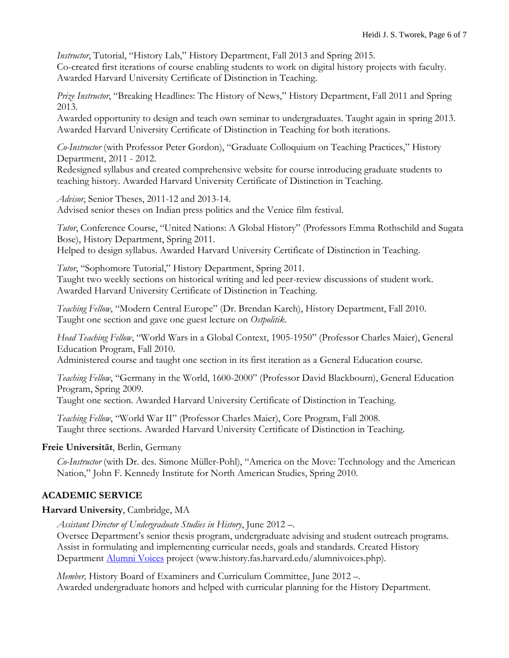*Instructor*, Tutorial, "History Lab," History Department, Fall 2013 and Spring 2015. Co-created first iterations of course enabling students to work on digital history projects with faculty. Awarded Harvard University Certificate of Distinction in Teaching.

*Prize Instructor*, "Breaking Headlines: The History of News," History Department, Fall 2011 and Spring 2013.

Awarded opportunity to design and teach own seminar to undergraduates. Taught again in spring 2013. Awarded Harvard University Certificate of Distinction in Teaching for both iterations.

*Co-Instructor* (with Professor Peter Gordon), "Graduate Colloquium on Teaching Practices," History Department, 2011 - 2012.

Redesigned syllabus and created comprehensive website for course introducing graduate students to teaching history. Awarded Harvard University Certificate of Distinction in Teaching.

*Advisor*, Senior Theses, 2011-12 and 2013-14. Advised senior theses on Indian press politics and the Venice film festival.

*Tutor*, Conference Course, "United Nations: A Global History" (Professors Emma Rothschild and Sugata Bose), History Department, Spring 2011. Helped to design syllabus. Awarded Harvard University Certificate of Distinction in Teaching.

*Tutor*, "Sophomore Tutorial," History Department, Spring 2011. Taught two weekly sections on historical writing and led peer-review discussions of student work. Awarded Harvard University Certificate of Distinction in Teaching.

*Teaching Fellow*, "Modern Central Europe" (Dr. Brendan Karch), History Department, Fall 2010. Taught one section and gave one guest lecture on *Ostpolitik*.

*Head Teaching Fellow*, "World Wars in a Global Context, 1905-1950" (Professor Charles Maier), General Education Program, Fall 2010.

Administered course and taught one section in its first iteration as a General Education course.

*Teaching Fellow*, "Germany in the World, 1600-2000" (Professor David Blackbourn), General Education Program, Spring 2009.

Taught one section. Awarded Harvard University Certificate of Distinction in Teaching.

*Teaching Fellow*, "World War II" (Professor Charles Maier), Core Program, Fall 2008. Taught three sections. Awarded Harvard University Certificate of Distinction in Teaching.

## **Freie Universität**, Berlin, Germany

*Co-Instructor* (with Dr. des. Simone Müller-Pohl), "America on the Move: Technology and the American Nation," John F. Kennedy Institute for North American Studies, Spring 2010.

## **ACADEMIC SERVICE**

#### **Harvard University**, Cambridge, MA

*Assistant Director of Undergraduate Studies in History*, June 2012 –.

Oversee Department's senior thesis program, undergraduate advising and student outreach programs. Assist in formulating and implementing curricular needs, goals and standards. Created History Department [Alumni Voices](mailto:http://history.fas.harvard.edu/alumnivoices.php) project (www.history.fas.harvard.edu/alumnivoices.php).

*Member, History Board of Examiners and Curriculum Committee, June 2012 --*Awarded undergraduate honors and helped with curricular planning for the History Department.